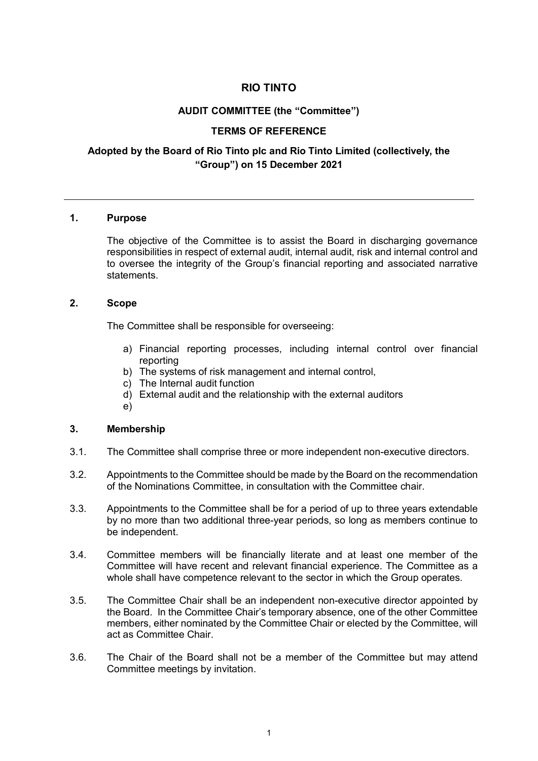# **RIO TINTO**

## **AUDIT COMMITTEE (the "Committee")**

## **TERMS OF REFERENCE**

# **Adopted by the Board of Rio Tinto plc and Rio Tinto Limited (collectively, the "Group") on 15 December 2021**

### **1. Purpose**

The objective of the Committee is to assist the Board in discharging governance responsibilities in respect of external audit, internal audit, risk and internal control and to oversee the integrity of the Group's financial reporting and associated narrative statements.

## **2. Scope**

The Committee shall be responsible for overseeing:

- a) Financial reporting processes, including internal control over financial reporting
- b) The systems of risk management and internal control,
- c) The Internal audit function
- d) External audit and the relationship with the external auditors
- e)

#### **3. Membership**

- 3.1. The Committee shall comprise three or more independent non-executive directors.
- 3.2. Appointments to the Committee should be made by the Board on the recommendation of the Nominations Committee, in consultation with the Committee chair.
- 3.3. Appointments to the Committee shall be for a period of up to three years extendable by no more than two additional three-year periods, so long as members continue to be independent.
- 3.4. Committee members will be financially literate and at least one member of the Committee will have recent and relevant financial experience. The Committee as a whole shall have competence relevant to the sector in which the Group operates.
- 3.5. The Committee Chair shall be an independent non-executive director appointed by the Board. In the Committee Chair's temporary absence, one of the other Committee members, either nominated by the Committee Chair or elected by the Committee, will act as Committee Chair.
- 3.6. The Chair of the Board shall not be a member of the Committee but may attend Committee meetings by invitation.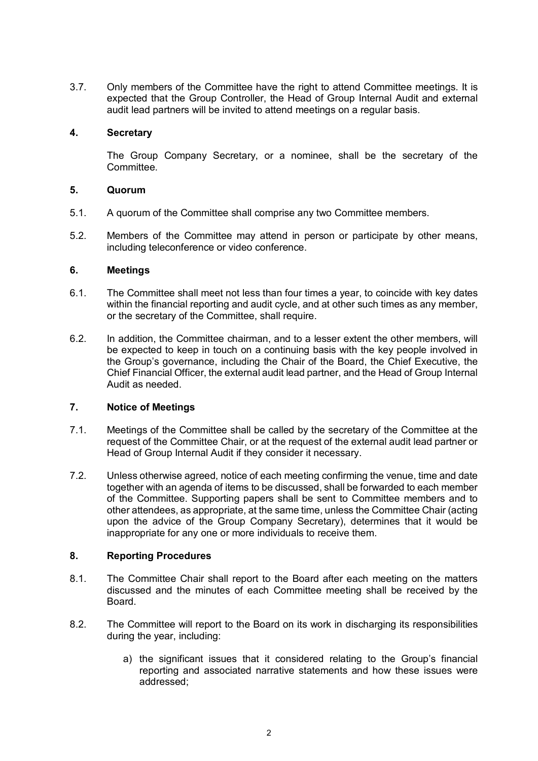3.7. Only members of the Committee have the right to attend Committee meetings. It is expected that the Group Controller, the Head of Group Internal Audit and external audit lead partners will be invited to attend meetings on a regular basis.

## **4. Secretary**

The Group Company Secretary, or a nominee, shall be the secretary of the **Committee.** 

### **5. Quorum**

- 5.1. A quorum of the Committee shall comprise any two Committee members.
- 5.2. Members of the Committee may attend in person or participate by other means, including teleconference or video conference.

### **6. Meetings**

- 6.1. The Committee shall meet not less than four times a year, to coincide with key dates within the financial reporting and audit cycle, and at other such times as any member, or the secretary of the Committee, shall require.
- 6.2. In addition, the Committee chairman, and to a lesser extent the other members, will be expected to keep in touch on a continuing basis with the key people involved in the Group's governance, including the Chair of the Board, the Chief Executive, the Chief Financial Officer, the external audit lead partner, and the Head of Group Internal Audit as needed.

## **7. Notice of Meetings**

- 7.1. Meetings of the Committee shall be called by the secretary of the Committee at the request of the Committee Chair, or at the request of the external audit lead partner or Head of Group Internal Audit if they consider it necessary.
- 7.2. Unless otherwise agreed, notice of each meeting confirming the venue, time and date together with an agenda of items to be discussed, shall be forwarded to each member of the Committee. Supporting papers shall be sent to Committee members and to other attendees, as appropriate, at the same time, unless the Committee Chair (acting upon the advice of the Group Company Secretary), determines that it would be inappropriate for any one or more individuals to receive them.

## **8. Reporting Procedures**

- 8.1. The Committee Chair shall report to the Board after each meeting on the matters discussed and the minutes of each Committee meeting shall be received by the Board.
- 8.2. The Committee will report to the Board on its work in discharging its responsibilities during the year, including:
	- a) the significant issues that it considered relating to the Group's financial reporting and associated narrative statements and how these issues were addressed;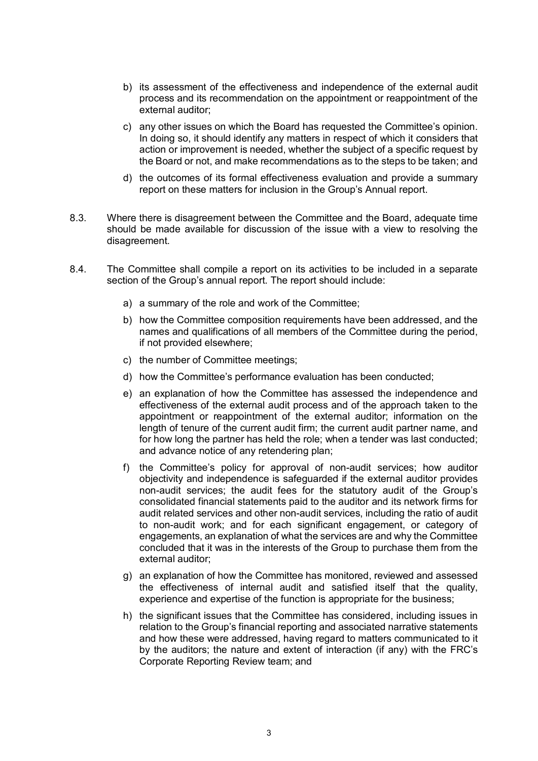- b) its assessment of the effectiveness and independence of the external audit process and its recommendation on the appointment or reappointment of the external auditor;
- c) any other issues on which the Board has requested the Committee's opinion. In doing so, it should identify any matters in respect of which it considers that action or improvement is needed, whether the subject of a specific request by the Board or not, and make recommendations as to the steps to be taken; and
- d) the outcomes of its formal effectiveness evaluation and provide a summary report on these matters for inclusion in the Group's Annual report.
- 8.3. Where there is disagreement between the Committee and the Board, adequate time should be made available for discussion of the issue with a view to resolving the disagreement.
- 8.4. The Committee shall compile a report on its activities to be included in a separate section of the Group's annual report. The report should include:
	- a) a summary of the role and work of the Committee;
	- b) how the Committee composition requirements have been addressed, and the names and qualifications of all members of the Committee during the period, if not provided elsewhere;
	- c) the number of Committee meetings;
	- d) how the Committee's performance evaluation has been conducted;
	- e) an explanation of how the Committee has assessed the independence and effectiveness of the external audit process and of the approach taken to the appointment or reappointment of the external auditor; information on the length of tenure of the current audit firm; the current audit partner name, and for how long the partner has held the role; when a tender was last conducted; and advance notice of any retendering plan;
	- f) the Committee's policy for approval of non-audit services; how auditor objectivity and independence is safeguarded if the external auditor provides non-audit services; the audit fees for the statutory audit of the Group's consolidated financial statements paid to the auditor and its network firms for audit related services and other non-audit services, including the ratio of audit to non-audit work; and for each significant engagement, or category of engagements, an explanation of what the services are and why the Committee concluded that it was in the interests of the Group to purchase them from the external auditor;
	- g) an explanation of how the Committee has monitored, reviewed and assessed the effectiveness of internal audit and satisfied itself that the quality, experience and expertise of the function is appropriate for the business;
	- h) the significant issues that the Committee has considered, including issues in relation to the Group's financial reporting and associated narrative statements and how these were addressed, having regard to matters communicated to it by the auditors; the nature and extent of interaction (if any) with the FRC's Corporate Reporting Review team; and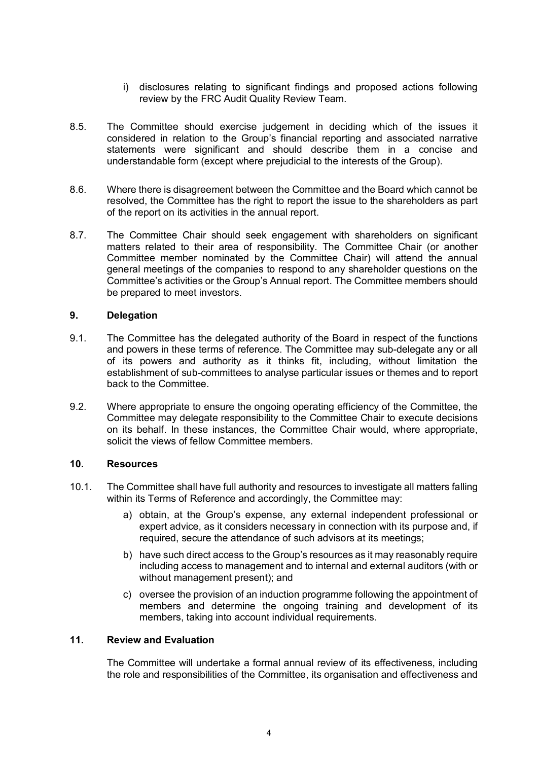- i) disclosures relating to significant findings and proposed actions following review by the FRC Audit Quality Review Team.
- 8.5. The Committee should exercise judgement in deciding which of the issues it considered in relation to the Group's financial reporting and associated narrative statements were significant and should describe them in a concise and understandable form (except where prejudicial to the interests of the Group).
- 8.6. Where there is disagreement between the Committee and the Board which cannot be resolved, the Committee has the right to report the issue to the shareholders as part of the report on its activities in the annual report.
- 8.7. The Committee Chair should seek engagement with shareholders on significant matters related to their area of responsibility. The Committee Chair (or another Committee member nominated by the Committee Chair) will attend the annual general meetings of the companies to respond to any shareholder questions on the Committee's activities or the Group's Annual report. The Committee members should be prepared to meet investors.

## **9. Delegation**

- 9.1. The Committee has the delegated authority of the Board in respect of the functions and powers in these terms of reference. The Committee may sub-delegate any or all of its powers and authority as it thinks fit, including, without limitation the establishment of sub-committees to analyse particular issues or themes and to report back to the Committee.
- 9.2. Where appropriate to ensure the ongoing operating efficiency of the Committee, the Committee may delegate responsibility to the Committee Chair to execute decisions on its behalf. In these instances, the Committee Chair would, where appropriate, solicit the views of fellow Committee members.

## **10. Resources**

- 10.1. The Committee shall have full authority and resources to investigate all matters falling within its Terms of Reference and accordingly, the Committee may:
	- a) obtain, at the Group's expense, any external independent professional or expert advice, as it considers necessary in connection with its purpose and, if required, secure the attendance of such advisors at its meetings;
	- b) have such direct access to the Group's resources as it may reasonably require including access to management and to internal and external auditors (with or without management present); and
	- c) oversee the provision of an induction programme following the appointment of members and determine the ongoing training and development of its members, taking into account individual requirements.

# **11. Review and Evaluation**

The Committee will undertake a formal annual review of its effectiveness, including the role and responsibilities of the Committee, its organisation and effectiveness and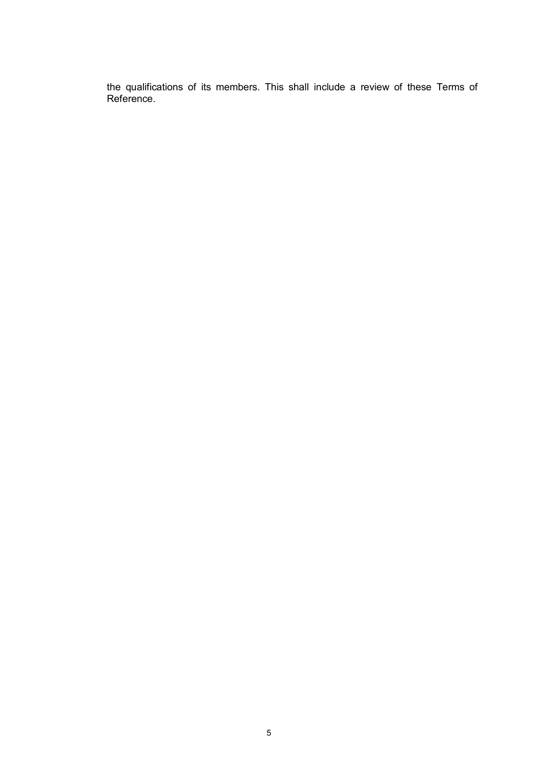the qualifications of its members. This shall include a review of these Terms of Reference.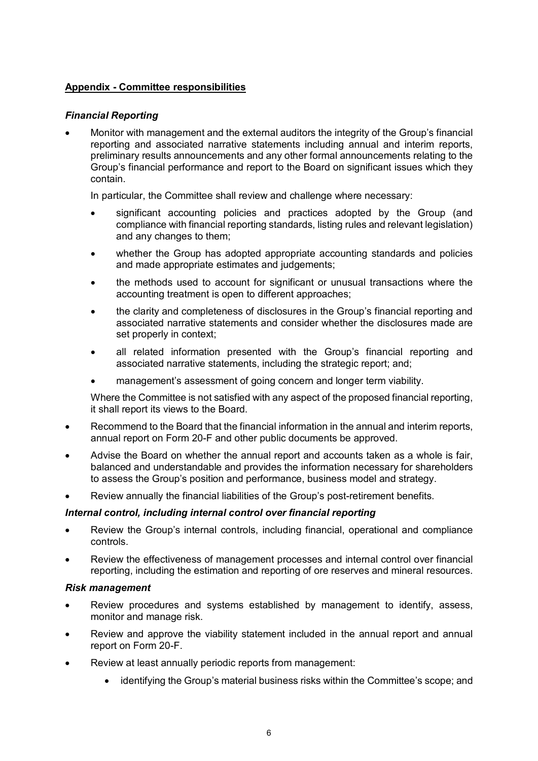# **Appendix - Committee responsibilities**

# *Financial Reporting*

• Monitor with management and the external auditors the integrity of the Group's financial reporting and associated narrative statements including annual and interim reports, preliminary results announcements and any other formal announcements relating to the Group's financial performance and report to the Board on significant issues which they contain.

In particular, the Committee shall review and challenge where necessary:

- significant accounting policies and practices adopted by the Group (and compliance with financial reporting standards, listing rules and relevant legislation) and any changes to them;
- whether the Group has adopted appropriate accounting standards and policies and made appropriate estimates and judgements;
- the methods used to account for significant or unusual transactions where the accounting treatment is open to different approaches;
- the clarity and completeness of disclosures in the Group's financial reporting and associated narrative statements and consider whether the disclosures made are set properly in context:
- all related information presented with the Group's financial reporting and associated narrative statements, including the strategic report; and;
- management's assessment of going concern and longer term viability.

Where the Committee is not satisfied with any aspect of the proposed financial reporting, it shall report its views to the Board.

- Recommend to the Board that the financial information in the annual and interim reports, annual report on Form 20-F and other public documents be approved.
- Advise the Board on whether the annual report and accounts taken as a whole is fair, balanced and understandable and provides the information necessary for shareholders to assess the Group's position and performance, business model and strategy.
- Review annually the financial liabilities of the Group's post-retirement benefits.

## *Internal control, including internal control over financial reporting*

- Review the Group's internal controls, including financial, operational and compliance controls.
- Review the effectiveness of management processes and internal control over financial reporting, including the estimation and reporting of ore reserves and mineral resources.

## *Risk management*

- Review procedures and systems established by management to identify, assess, monitor and manage risk.
- Review and approve the viability statement included in the annual report and annual report on Form 20-F.
- Review at least annually periodic reports from management:
	- identifying the Group's material business risks within the Committee's scope; and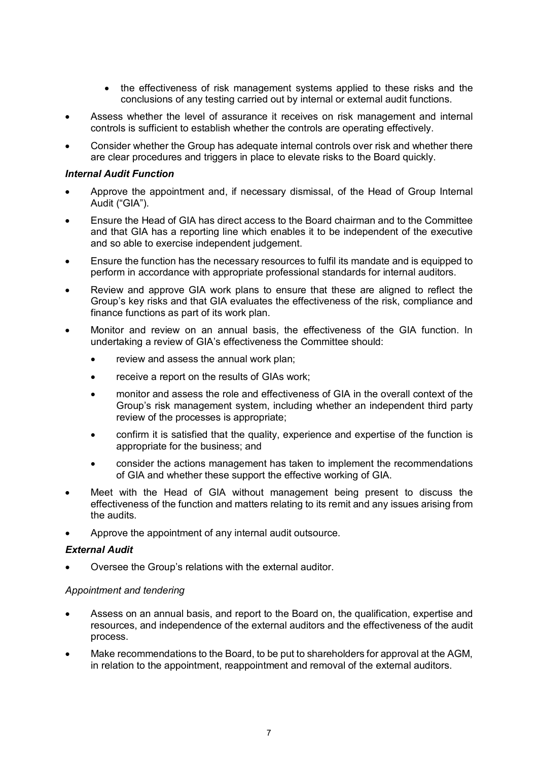- the effectiveness of risk management systems applied to these risks and the conclusions of any testing carried out by internal or external audit functions.
- Assess whether the level of assurance it receives on risk management and internal controls is sufficient to establish whether the controls are operating effectively.
- Consider whether the Group has adequate internal controls over risk and whether there are clear procedures and triggers in place to elevate risks to the Board quickly.

## *Internal Audit Function*

- Approve the appointment and, if necessary dismissal, of the Head of Group Internal Audit ("GIA").
- Ensure the Head of GIA has direct access to the Board chairman and to the Committee and that GIA has a reporting line which enables it to be independent of the executive and so able to exercise independent judgement.
- Ensure the function has the necessary resources to fulfil its mandate and is equipped to perform in accordance with appropriate professional standards for internal auditors.
- Review and approve GIA work plans to ensure that these are aligned to reflect the Group's key risks and that GIA evaluates the effectiveness of the risk, compliance and finance functions as part of its work plan.
- Monitor and review on an annual basis, the effectiveness of the GIA function. In undertaking a review of GIA's effectiveness the Committee should:
	- review and assess the annual work plan;
	- receive a report on the results of GIAs work;
	- monitor and assess the role and effectiveness of GIA in the overall context of the Group's risk management system, including whether an independent third party review of the processes is appropriate;
	- confirm it is satisfied that the quality, experience and expertise of the function is appropriate for the business; and
	- consider the actions management has taken to implement the recommendations of GIA and whether these support the effective working of GIA.
- Meet with the Head of GIA without management being present to discuss the effectiveness of the function and matters relating to its remit and any issues arising from the audits.
- Approve the appointment of any internal audit outsource.

## *External Audit*

• Oversee the Group's relations with the external auditor.

## *Appointment and tendering*

- Assess on an annual basis, and report to the Board on, the qualification, expertise and resources, and independence of the external auditors and the effectiveness of the audit process.
- Make recommendations to the Board, to be put to shareholders for approval at the AGM, in relation to the appointment, reappointment and removal of the external auditors.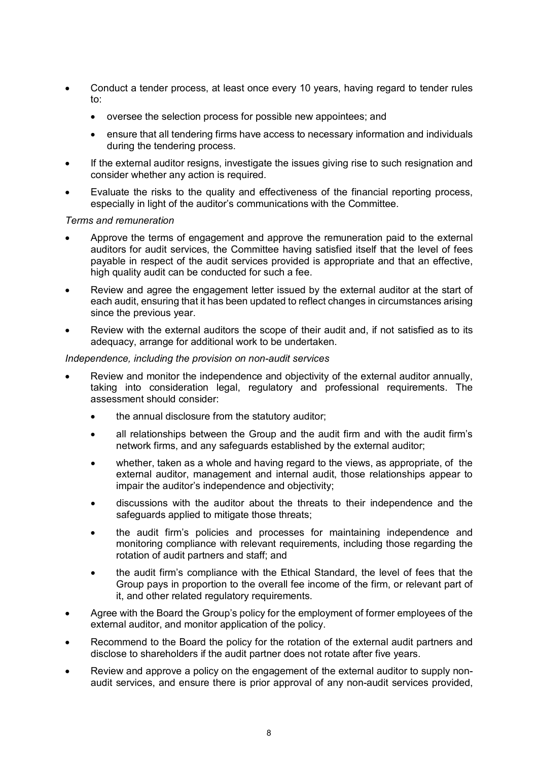- Conduct a tender process, at least once every 10 years, having regard to tender rules to:
	- oversee the selection process for possible new appointees; and
	- ensure that all tendering firms have access to necessary information and individuals during the tendering process.
- If the external auditor resigns, investigate the issues giving rise to such resignation and consider whether any action is required.
- Evaluate the risks to the quality and effectiveness of the financial reporting process, especially in light of the auditor's communications with the Committee.

#### *Terms and remuneration*

- Approve the terms of engagement and approve the remuneration paid to the external auditors for audit services, the Committee having satisfied itself that the level of fees payable in respect of the audit services provided is appropriate and that an effective, high quality audit can be conducted for such a fee.
- Review and agree the engagement letter issued by the external auditor at the start of each audit, ensuring that it has been updated to reflect changes in circumstances arising since the previous year.
- Review with the external auditors the scope of their audit and, if not satisfied as to its adequacy, arrange for additional work to be undertaken.

### *Independence, including the provision on non-audit services*

- Review and monitor the independence and objectivity of the external auditor annually, taking into consideration legal, regulatory and professional requirements. The assessment should consider:
	- the annual disclosure from the statutory auditor;
	- all relationships between the Group and the audit firm and with the audit firm's network firms, and any safeguards established by the external auditor;
	- whether, taken as a whole and having regard to the views, as appropriate, of the external auditor, management and internal audit, those relationships appear to impair the auditor's independence and objectivity;
	- discussions with the auditor about the threats to their independence and the safeguards applied to mitigate those threats;
	- the audit firm's policies and processes for maintaining independence and monitoring compliance with relevant requirements, including those regarding the rotation of audit partners and staff; and
	- the audit firm's compliance with the Ethical Standard, the level of fees that the Group pays in proportion to the overall fee income of the firm, or relevant part of it, and other related regulatory requirements.
- Agree with the Board the Group's policy for the employment of former employees of the external auditor, and monitor application of the policy.
- Recommend to the Board the policy for the rotation of the external audit partners and disclose to shareholders if the audit partner does not rotate after five years.
- Review and approve a policy on the engagement of the external auditor to supply nonaudit services, and ensure there is prior approval of any non-audit services provided,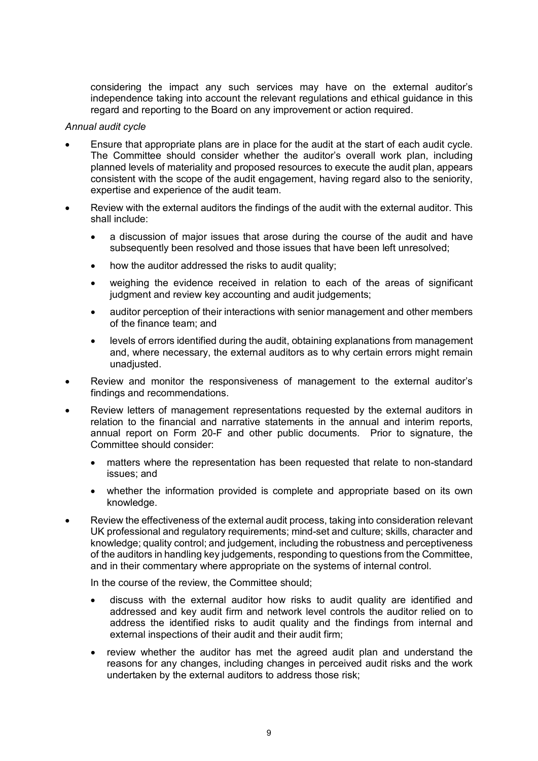considering the impact any such services may have on the external auditor's independence taking into account the relevant regulations and ethical guidance in this regard and reporting to the Board on any improvement or action required.

#### *Annual audit cycle*

- Ensure that appropriate plans are in place for the audit at the start of each audit cycle. The Committee should consider whether the auditor's overall work plan, including planned levels of materiality and proposed resources to execute the audit plan, appears consistent with the scope of the audit engagement, having regard also to the seniority, expertise and experience of the audit team.
- Review with the external auditors the findings of the audit with the external auditor. This shall include:
	- a discussion of major issues that arose during the course of the audit and have subsequently been resolved and those issues that have been left unresolved;
	- how the auditor addressed the risks to audit quality;
	- weighing the evidence received in relation to each of the areas of significant judgment and review key accounting and audit judgements;
	- auditor perception of their interactions with senior management and other members of the finance team; and
	- levels of errors identified during the audit, obtaining explanations from management and, where necessary, the external auditors as to why certain errors might remain unadjusted.
- Review and monitor the responsiveness of management to the external auditor's findings and recommendations.
- Review letters of management representations requested by the external auditors in relation to the financial and narrative statements in the annual and interim reports, annual report on Form 20-F and other public documents. Prior to signature, the Committee should consider:
	- matters where the representation has been requested that relate to non-standard issues; and
	- whether the information provided is complete and appropriate based on its own knowledge.
- Review the effectiveness of the external audit process, taking into consideration relevant UK professional and regulatory requirements; mind-set and culture; skills, character and knowledge; quality control; and judgement, including the robustness and perceptiveness of the auditors in handling key judgements, responding to questions from the Committee, and in their commentary where appropriate on the systems of internal control.

In the course of the review, the Committee should;

- discuss with the external auditor how risks to audit quality are identified and addressed and key audit firm and network level controls the auditor relied on to address the identified risks to audit quality and the findings from internal and external inspections of their audit and their audit firm;
- review whether the auditor has met the agreed audit plan and understand the reasons for any changes, including changes in perceived audit risks and the work undertaken by the external auditors to address those risk;